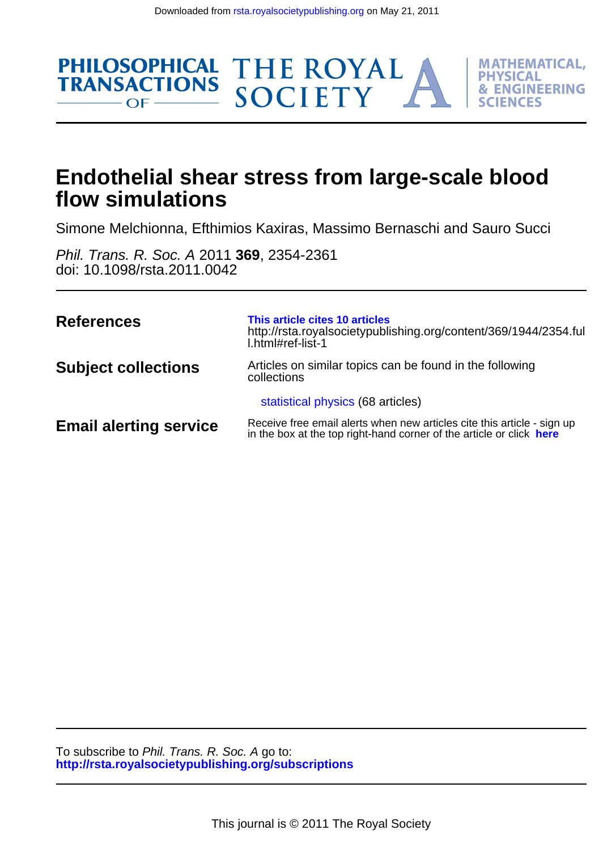THE ROYAL<br>SOCIETY

**MATHEMATICAL. PHYSICAL** 

**& ENGINEERING** 

FS

**SCIENC** 



Simone Melchionna, Efthimios Kaxiras, Massimo Bernaschi and Sauro Succi

doi: 10.1098/rsta.2011.0042 Phil. Trans. R. Soc. A 2011 **369**, 2354-2361

**PHILOSOPHICAL** 

 $OF$  —

**TRANSACTIONS** 

| <b>References</b>             | This article cites 10 articles<br>http://rsta.royalsocietypublishing.org/content/369/1944/2354.ful<br>L.html#ref-list-1                         |
|-------------------------------|-------------------------------------------------------------------------------------------------------------------------------------------------|
| <b>Subject collections</b>    | Articles on similar topics can be found in the following<br>collections                                                                         |
|                               | statistical physics (68 articles)                                                                                                               |
| <b>Email alerting service</b> | Receive free email alerts when new articles cite this article - sign up<br>in the box at the top right-hand corner of the article or click here |

**<http://rsta.royalsocietypublishing.org/subscriptions>** To subscribe to Phil. Trans. R. Soc. A go to: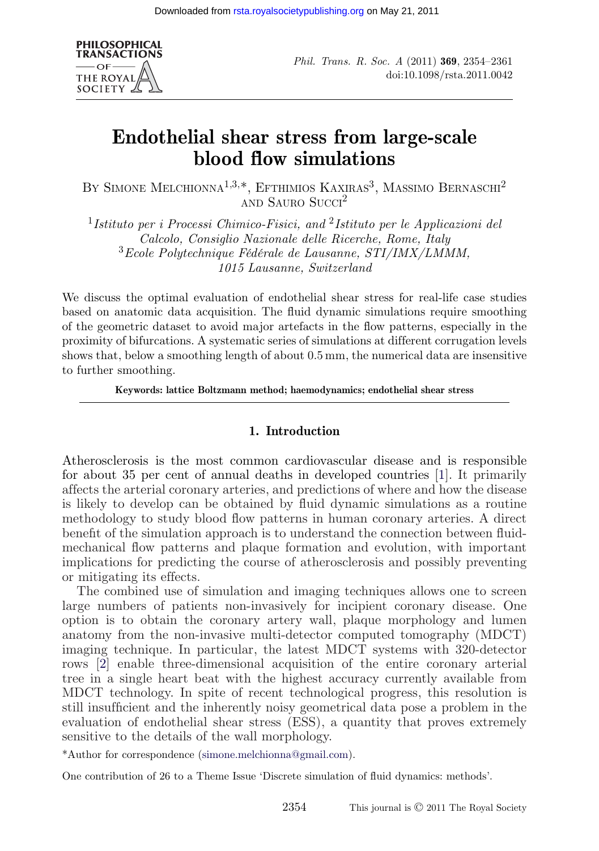

# **Endothelial shear stress from large-scale blood flow simulations**

BY SIMONE MELCHIONNA<sup>1,3,\*</sup>, EFTHIMIOS KAXIRAS<sup>3</sup>, MASSIMO BERNASCHI<sup>2</sup> AND SAURO SUCCI<sup>2</sup>

<sup>1</sup>*Istituto per i Processi Chimico-Fisici, and* <sup>2</sup>*Istituto per le Applicazioni del Calcolo, Consiglio Nazionale delle Ricerche, Rome, Italy* <sup>3</sup>*Ecole Polytechnique Fédérale de Lausanne, STI/IMX/LMMM, 1015 Lausanne, Switzerland*

We discuss the optimal evaluation of endothelial shear stress for real-life case studies based on anatomic data acquisition. The fluid dynamic simulations require smoothing of the geometric dataset to avoid major artefacts in the flow patterns, especially in the proximity of bifurcations. A systematic series of simulations at different corrugation levels shows that, below a smoothing length of about 0.5 mm, the numerical data are insensitive to further smoothing.

**Keywords: lattice Boltzmann method; haemodynamics; endothelial shear stress**

## **1. Introduction**

Atherosclerosis is the most common cardiovascular disease and is responsible for about 35 per cent of annual deaths in developed countries [\[1\]](#page-8-0). It primarily affects the arterial coronary arteries, and predictions of where and how the disease is likely to develop can be obtained by fluid dynamic simulations as a routine methodology to study blood flow patterns in human coronary arteries. A direct benefit of the simulation approach is to understand the connection between fluidmechanical flow patterns and plaque formation and evolution, with important implications for predicting the course of atherosclerosis and possibly preventing or mitigating its effects.

The combined use of simulation and imaging techniques allows one to screen large numbers of patients non-invasively for incipient coronary disease. One option is to obtain the coronary artery wall, plaque morphology and lumen anatomy from the non-invasive multi-detector computed tomography (MDCT) imaging technique. In particular, the latest MDCT systems with 320-detector rows [\[2\]](#page-8-0) enable three-dimensional acquisition of the entire coronary arterial tree in a single heart beat with the highest accuracy currently available from MDCT technology. In spite of recent technological progress, this resolution is still insufficient and the inherently noisy geometrical data pose a problem in the evaluation of endothelial shear stress (ESS), a quantity that proves extremely sensitive to the details of the wall morphology.

\*Author for correspondence [\(simone.melchionna@gmail.com\)](mailto:simone.melchionna@gmail.com).

One contribution of 26 to a Theme Issue 'Discrete simulation of fluid dynamics: methods'.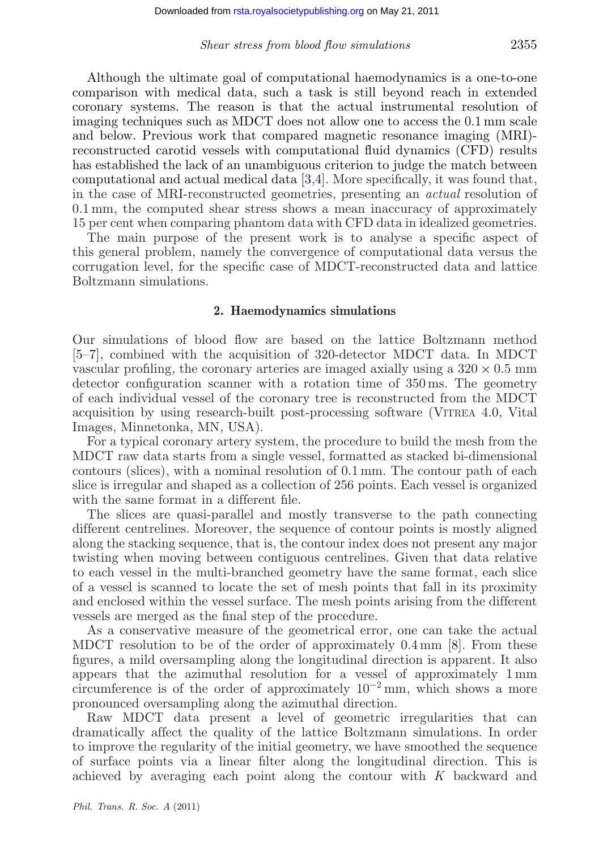Although the ultimate goal of computational haemodynamics is a one-to-one comparison with medical data, such a task is still beyond reach in extended coronary systems. The reason is that the actual instrumental resolution of imaging techniques such as MDCT does not allow one to access the 0.1 mm scale and below. Previous work that compared magnetic resonance imaging (MRI) reconstructed carotid vessels with computational fluid dynamics (CFD) results has established the lack of an unambiguous criterion to judge the match between computational and actual medical data [\[3,4\]](#page-8-0). More specifically, it was found that, in the case of MRI-reconstructed geometries, presenting an *actual* resolution of 0.1 mm, the computed shear stress shows a mean inaccuracy of approximately 15 per cent when comparing phantom data with CFD data in idealized geometries.

The main purpose of the present work is to analyse a specific aspect of this general problem, namely the convergence of computational data versus the corrugation level, for the specific case of MDCT-reconstructed data and lattice Boltzmann simulations.

#### **2. Haemodynamics simulations**

Our simulations of blood flow are based on the lattice Boltzmann method [\[5–7\]](#page-8-0), combined with the acquisition of 320-detector MDCT data. In MDCT vascular profiling, the coronary arteries are imaged axially using a  $320 \times 0.5$  mm detector configuration scanner with a rotation time of 350 ms. The geometry of each individual vessel of the coronary tree is reconstructed from the MDCT acquisition by using research-built post-processing software (VITREA 4.0, Vital Images, Minnetonka, MN, USA).

For a typical coronary artery system, the procedure to build the mesh from the MDCT raw data starts from a single vessel, formatted as stacked bi-dimensional contours (slices), with a nominal resolution of 0.1 mm. The contour path of each slice is irregular and shaped as a collection of 256 points. Each vessel is organized with the same format in a different file.

The slices are quasi-parallel and mostly transverse to the path connecting different centrelines. Moreover, the sequence of contour points is mostly aligned along the stacking sequence, that is, the contour index does not present any major twisting when moving between contiguous centrelines. Given that data relative to each vessel in the multi-branched geometry have the same format, each slice of a vessel is scanned to locate the set of mesh points that fall in its proximity and enclosed within the vessel surface. The mesh points arising from the different vessels are merged as the final step of the procedure.

As a conservative measure of the geometrical error, one can take the actual MDCT resolution to be of the order of approximately 0.4 mm [\[8\]](#page-8-0). From these figures, a mild oversampling along the longitudinal direction is apparent. It also appears that the azimuthal resolution for a vessel of approximately 1 mm circumference is of the order of approximately  $10^{-2}$  mm, which shows a more pronounced oversampling along the azimuthal direction.

Raw MDCT data present a level of geometric irregularities that can dramatically affect the quality of the lattice Boltzmann simulations. In order to improve the regularity of the initial geometry, we have smoothed the sequence of surface points via a linear filter along the longitudinal direction. This is achieved by averaging each point along the contour with *K* backward and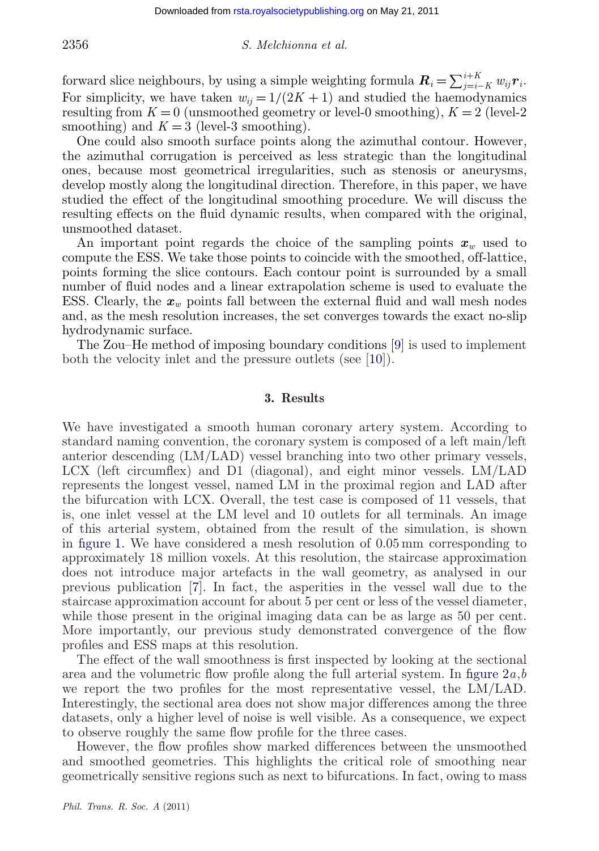#### 2356 *S. Melchionna et al.*

forward slice neighbours, by using a simple weighting formula  $\mathbf{R}_i = \sum_{j=i-K}^{i+K} w_{ij} \mathbf{r}_i$ . For simplicity, we have taken  $w_{ij} = 1/(2K + 1)$  and studied the haemodynamics resulting from  $K = 0$  (unsmoothed geometry or level-0 smoothing),  $K = 2$  (level-2) smoothing) and  $K = 3$  (level-3 smoothing).

One could also smooth surface points along the azimuthal contour. However, the azimuthal corrugation is perceived as less strategic than the longitudinal ones, because most geometrical irregularities, such as stenosis or aneurysms, develop mostly along the longitudinal direction. Therefore, in this paper, we have studied the effect of the longitudinal smoothing procedure. We will discuss the resulting effects on the fluid dynamic results, when compared with the original, unsmoothed dataset.

An important point regards the choice of the sampling points  $x_w$  used to compute the ESS. We take those points to coincide with the smoothed, off-lattice, points forming the slice contours. Each contour point is surrounded by a small number of fluid nodes and a linear extrapolation scheme is used to evaluate the ESS. Clearly, the  $x_w$  points fall between the external fluid and wall mesh nodes and, as the mesh resolution increases, the set converges towards the exact no-slip hydrodynamic surface.

The Zou–He method of imposing boundary conditions [\[9\]](#page-8-0) is used to implement both the velocity inlet and the pressure outlets (see [\[10\]](#page-8-0)).

## **3. Results**

We have investigated a smooth human coronary artery system. According to standard naming convention, the coronary system is composed of a left main/left anterior descending (LM/LAD) vessel branching into two other primary vessels, LCX (left circumflex) and D1 (diagonal), and eight minor vessels. LM/LAD represents the longest vessel, named LM in the proximal region and LAD after the bifurcation with LCX. Overall, the test case is composed of 11 vessels, that is, one inlet vessel at the LM level and 10 outlets for all terminals. An image of this arterial system, obtained from the result of the simulation, is shown in [figure 1.](#page-4-0) We have considered a mesh resolution of 0.05 mm corresponding to approximately 18 million voxels. At this resolution, the staircase approximation does not introduce major artefacts in the wall geometry, as analysed in our previous publication [\[7\]](#page-8-0). In fact, the asperities in the vessel wall due to the staircase approximation account for about 5 per cent or less of the vessel diameter, while those present in the original imaging data can be as large as 50 per cent. More importantly, our previous study demonstrated convergence of the flow profiles and ESS maps at this resolution.

The effect of the wall smoothness is first inspected by looking at the sectional area and the volumetric flow profile along the full arterial system. In [figure 2](#page-5-0)*a*,*b* we report the two profiles for the most representative vessel, the LM/LAD. Interestingly, the sectional area does not show major differences among the three datasets, only a higher level of noise is well visible. As a consequence, we expect to observe roughly the same flow profile for the three cases.

However, the flow profiles show marked differences between the unsmoothed and smoothed geometries. This highlights the critical role of smoothing near geometrically sensitive regions such as next to bifurcations. In fact, owing to mass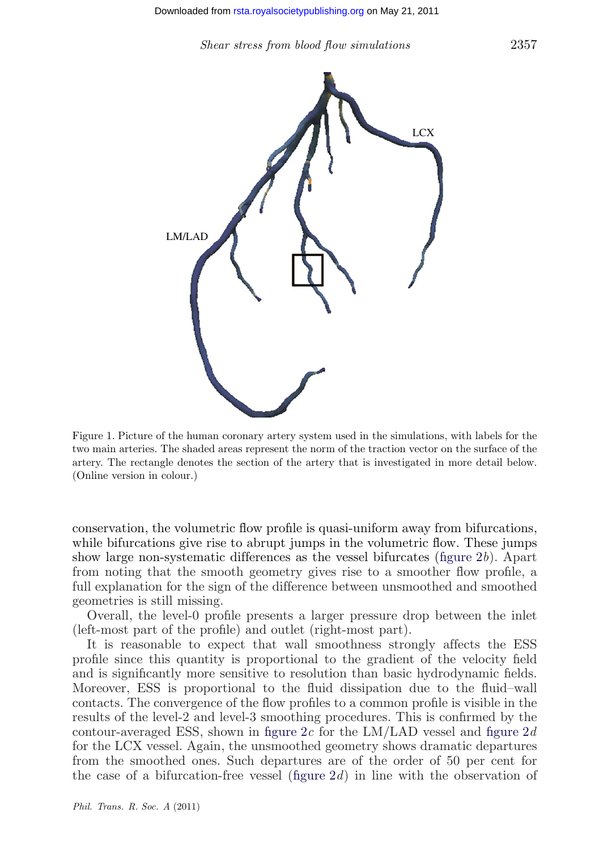*Shear stress from blood flow simulations* 2357

<span id="page-4-0"></span>

Figure 1. Picture of the human coronary artery system used in the simulations, with labels for the two main arteries. The shaded areas represent the norm of the traction vector on the surface of the artery. The rectangle denotes the section of the artery that is investigated in more detail below. (Online version in colour.)

conservation, the volumetric flow profile is quasi-uniform away from bifurcations, while bifurcations give rise to abrupt jumps in the volumetric flow. These jumps show large non-systematic differences as the vessel bifurcates [\(figure 2](#page-5-0)*b*). Apart from noting that the smooth geometry gives rise to a smoother flow profile, a full explanation for the sign of the difference between unsmoothed and smoothed geometries is still missing.

Overall, the level-0 profile presents a larger pressure drop between the inlet (left-most part of the profile) and outlet (right-most part).

It is reasonable to expect that wall smoothness strongly affects the ESS profile since this quantity is proportional to the gradient of the velocity field and is significantly more sensitive to resolution than basic hydrodynamic fields. Moreover, ESS is proportional to the fluid dissipation due to the fluid–wall contacts. The convergence of the flow profiles to a common profile is visible in the results of the level-2 and level-3 smoothing procedures. This is confirmed by the contour-averaged ESS, shown in [figure 2](#page-5-0)*c* for the LM/LAD vessel and [figure 2](#page-5-0)*d* for the LCX vessel. Again, the unsmoothed geometry shows dramatic departures from the smoothed ones. Such departures are of the order of 50 per cent for the case of a bifurcation-free vessel [\(figure 2](#page-5-0)*d*) in line with the observation of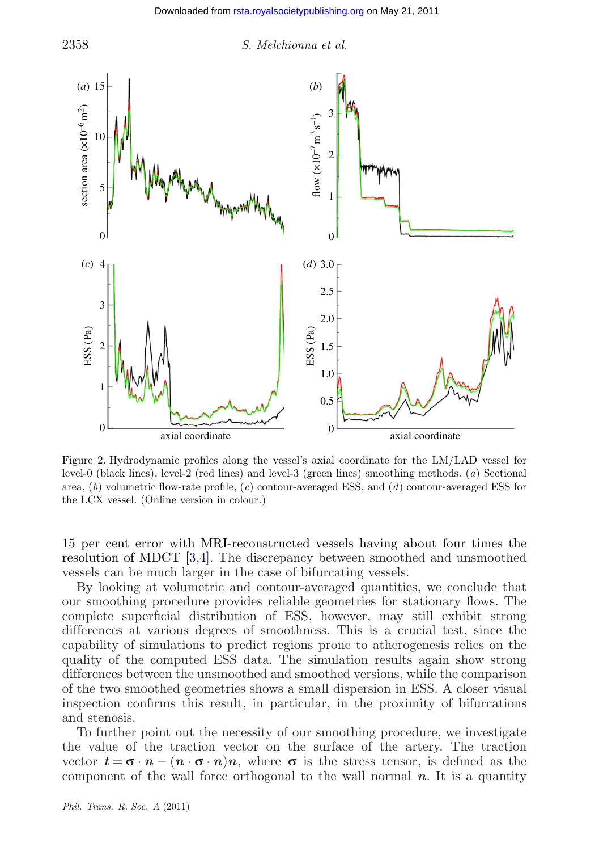<span id="page-5-0"></span>

Figure 2. Hydrodynamic profiles along the vessel's axial coordinate for the LM/LAD vessel for level-0 (black lines), level-2 (red lines) and level-3 (green lines) smoothing methods. (*a*) Sectional area, (*b*) volumetric flow-rate profile, (*c*) contour-averaged ESS, and (*d*) contour-averaged ESS for the LCX vessel. (Online version in colour.)

15 per cent error with MRI-reconstructed vessels having about four times the resolution of MDCT [\[3,4\]](#page-8-0). The discrepancy between smoothed and unsmoothed vessels can be much larger in the case of bifurcating vessels.

By looking at volumetric and contour-averaged quantities, we conclude that our smoothing procedure provides reliable geometries for stationary flows. The complete superficial distribution of ESS, however, may still exhibit strong differences at various degrees of smoothness. This is a crucial test, since the capability of simulations to predict regions prone to atherogenesis relies on the quality of the computed ESS data. The simulation results again show strong differences between the unsmoothed and smoothed versions, while the comparison of the two smoothed geometries shows a small dispersion in ESS. A closer visual inspection confirms this result, in particular, in the proximity of bifurcations and stenosis.

To further point out the necessity of our smoothing procedure, we investigate the value of the traction vector on the surface of the artery. The traction vector  $t = \sigma \cdot n - (n \cdot \sigma \cdot n)n$ , where  $\sigma$  is the stress tensor, is defined as the component of the wall force orthogonal to the wall normal *n*. It is a quantity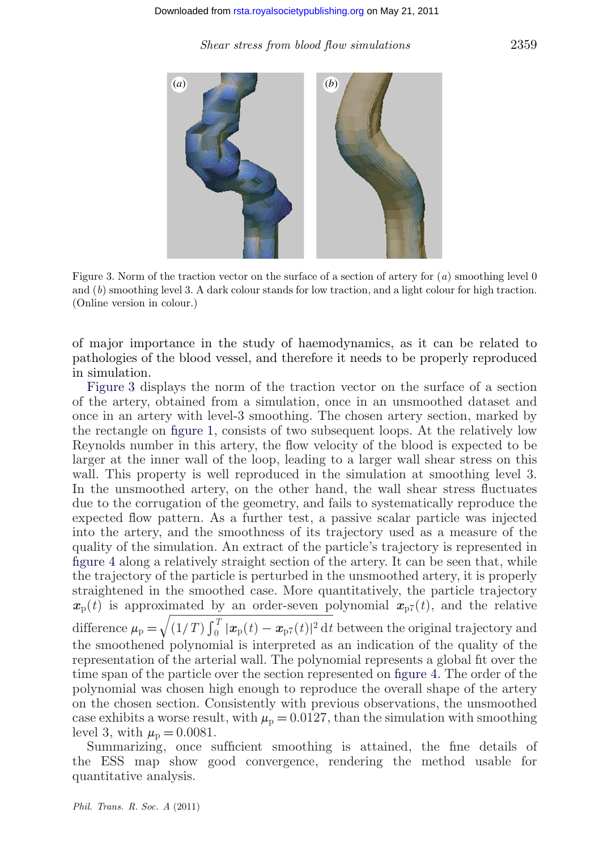*Shear stress from blood flow simulations* 2359



Figure 3. Norm of the traction vector on the surface of a section of artery for (*a*) smoothing level 0 and (*b*) smoothing level 3. A dark colour stands for low traction, and a light colour for high traction. (Online version in colour.)

of major importance in the study of haemodynamics, as it can be related to pathologies of the blood vessel, and therefore it needs to be properly reproduced in simulation.

Figure 3 displays the norm of the traction vector on the surface of a section of the artery, obtained from a simulation, once in an unsmoothed dataset and once in an artery with level-3 smoothing. The chosen artery section, marked by the rectangle on [figure 1,](#page-4-0) consists of two subsequent loops. At the relatively low Reynolds number in this artery, the flow velocity of the blood is expected to be larger at the inner wall of the loop, leading to a larger wall shear stress on this wall. This property is well reproduced in the simulation at smoothing level 3. In the unsmoothed artery, on the other hand, the wall shear stress fluctuates due to the corrugation of the geometry, and fails to systematically reproduce the expected flow pattern. As a further test, a passive scalar particle was injected into the artery, and the smoothness of its trajectory used as a measure of the quality of the simulation. An extract of the particle's trajectory is represented in [figure 4](#page-7-0) along a relatively straight section of the artery. It can be seen that, while the trajectory of the particle is perturbed in the unsmoothed artery, it is properly straightened in the smoothed case. More quantitatively, the particle trajectory  $x_p(t)$  is approximated by an order-seven polynomial  $x_{p7}(t)$ , and the relative difference  $\mu_p = \sqrt{(1/T)\int_0^T |\bm{x}_p(t) - \bm{x}_{p7}(t)|^2 dt}$  between the original trajectory and the smoothened polynomial is interpreted as an indication of the quality of the representation of the arterial wall. The polynomial represents a global fit over the time span of the particle over the section represented on [figure 4.](#page-7-0) The order of the polynomial was chosen high enough to reproduce the overall shape of the artery on the chosen section. Consistently with previous observations, the unsmoothed case exhibits a worse result, with  $\mu_p = 0.0127$ , than the simulation with smoothing level 3, with  $\mu_{\rm p} = 0.0081$ .

Summarizing, once sufficient smoothing is attained, the fine details of the ESS map show good convergence, rendering the method usable for quantitative analysis.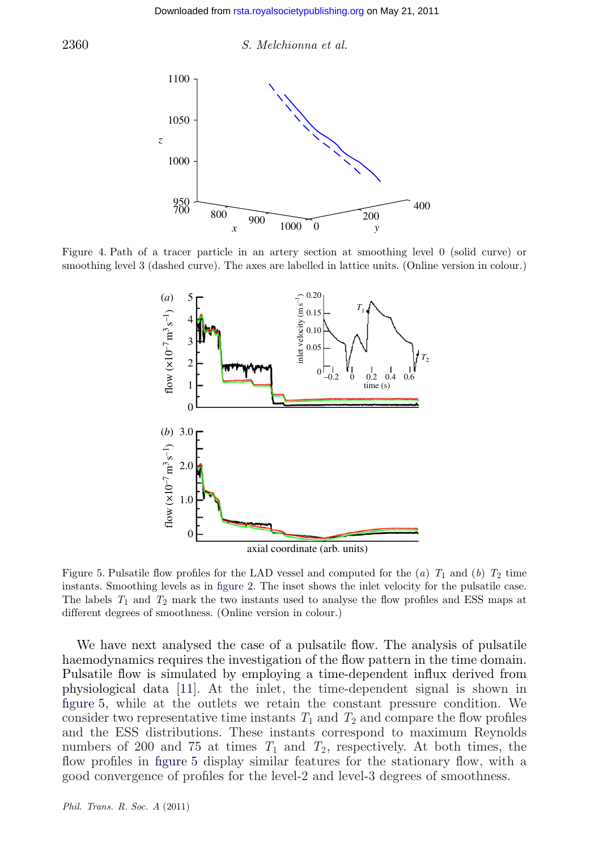2360 *S. Melchionna et al.*



Figure 4. Path of a tracer particle in an artery section at smoothing level 0 (solid curve) or smoothing level 3 (dashed curve). The axes are labelled in lattice units. (Online version in colour.)



axial coordinate (arb. units)

Figure 5. Pulsatile flow profiles for the LAD vessel and computed for the (*a*)  $T_1$  and (*b*)  $T_2$  time instants. Smoothing levels as in [figure 2.](#page-5-0) The inset shows the inlet velocity for the pulsatile case. The labels *T*<sup>1</sup> and *T*<sup>2</sup> mark the two instants used to analyse the flow profiles and ESS maps at different degrees of smoothness. (Online version in colour.)

We have next analysed the case of a pulsatile flow. The analysis of pulsatile haemodynamics requires the investigation of the flow pattern in the time domain. Pulsatile flow is simulated by employing a time-dependent influx derived from physiological data [\[11\]](#page-8-0). At the inlet, the time-dependent signal is shown in figure 5, while at the outlets we retain the constant pressure condition. We consider two representative time instants  $T_1$  and  $T_2$  and compare the flow profiles and the ESS distributions. These instants correspond to maximum Reynolds numbers of 200 and 75 at times  $T_1$  and  $T_2$ , respectively. At both times, the flow profiles in figure 5 display similar features for the stationary flow, with a good convergence of profiles for the level-2 and level-3 degrees of smoothness.

<span id="page-7-0"></span>